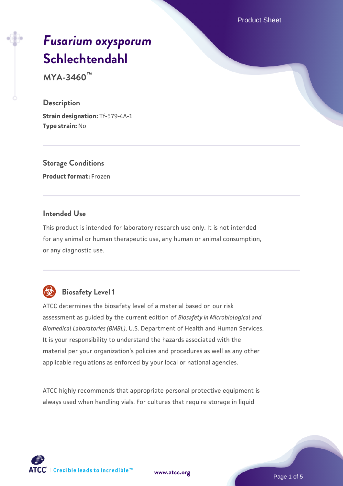Product Sheet

# *[Fusarium oxysporum](https://www.atcc.org/products/mya-3460)* **[Schlechtendahl](https://www.atcc.org/products/mya-3460)**

**MYA-3460™**

#### **Description**

**Strain designation:** Tf-579-4A-1 **Type strain:** No

**Storage Conditions Product format:** Frozen

#### **Intended Use**

This product is intended for laboratory research use only. It is not intended for any animal or human therapeutic use, any human or animal consumption, or any diagnostic use.

# **Biosafety Level 1**

ATCC determines the biosafety level of a material based on our risk assessment as guided by the current edition of *Biosafety in Microbiological and Biomedical Laboratories (BMBL)*, U.S. Department of Health and Human Services. It is your responsibility to understand the hazards associated with the material per your organization's policies and procedures as well as any other applicable regulations as enforced by your local or national agencies.

ATCC highly recommends that appropriate personal protective equipment is always used when handling vials. For cultures that require storage in liquid

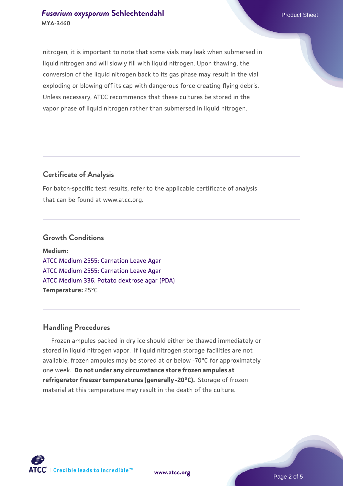## **[Fusarium oxysporum](https://www.atcc.org/products/mya-3460) [Schlechtendahl](https://www.atcc.org/products/mya-3460) Product Sheet Product Sheet MYA-3460**

nitrogen, it is important to note that some vials may leak when submersed in liquid nitrogen and will slowly fill with liquid nitrogen. Upon thawing, the conversion of the liquid nitrogen back to its gas phase may result in the vial exploding or blowing off its cap with dangerous force creating flying debris. Unless necessary, ATCC recommends that these cultures be stored in the vapor phase of liquid nitrogen rather than submersed in liquid nitrogen.

# **Certificate of Analysis**

For batch-specific test results, refer to the applicable certificate of analysis that can be found at www.atcc.org.

#### **Growth Conditions**

**Medium:**  [ATCC Medium 2555: Carnation Leave Agar](https://www.atcc.org/-/media/product-assets/documents/microbial-media-formulations/2/5/5/5/atcc-medium-2555.pdf?rev=2862c60bbece41438149cf50fa0ef751) [ATCC Medium 2555: Carnation Leave Agar](https://www.atcc.org/-/media/product-assets/documents/microbial-media-formulations/2/5/5/5/atcc-medium-2555.pdf?rev=2862c60bbece41438149cf50fa0ef751) [ATCC Medium 336: Potato dextrose agar \(PDA\)](https://www.atcc.org/-/media/product-assets/documents/microbial-media-formulations/3/3/6/atcc-medium-336.pdf?rev=d9160ad44d934cd8b65175461abbf3b9) **Temperature:** 25°C

# **Handling Procedures**

 Frozen ampules packed in dry ice should either be thawed immediately or stored in liquid nitrogen vapor. If liquid nitrogen storage facilities are not available, frozen ampules may be stored at or below -70°C for approximately one week. **Do not under any circumstance store frozen ampules at refrigerator freezer temperatures (generally -20°C).** Storage of frozen material at this temperature may result in the death of the culture.

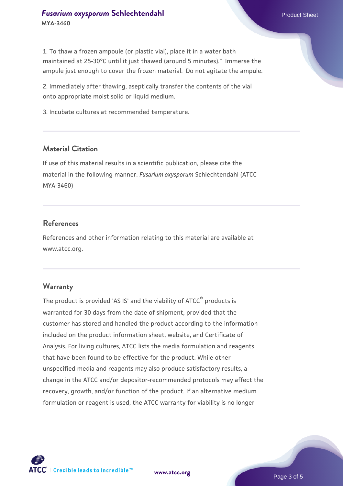1. To thaw a frozen ampoule (or plastic vial), place it in a water bath maintained at 25-30°C until it just thawed (around 5 minutes)." Immerse the ampule just enough to cover the frozen material. Do not agitate the ampule.

2. Immediately after thawing, aseptically transfer the contents of the vial onto appropriate moist solid or liquid medium.

3. Incubate cultures at recommended temperature.

#### **Material Citation**

If use of this material results in a scientific publication, please cite the material in the following manner: *Fusarium oxysporum* Schlechtendahl (ATCC MYA-3460)

#### **References**

References and other information relating to this material are available at www.atcc.org.

#### **Warranty**

The product is provided 'AS IS' and the viability of ATCC® products is warranted for 30 days from the date of shipment, provided that the customer has stored and handled the product according to the information included on the product information sheet, website, and Certificate of Analysis. For living cultures, ATCC lists the media formulation and reagents that have been found to be effective for the product. While other unspecified media and reagents may also produce satisfactory results, a change in the ATCC and/or depositor-recommended protocols may affect the recovery, growth, and/or function of the product. If an alternative medium formulation or reagent is used, the ATCC warranty for viability is no longer



**[www.atcc.org](http://www.atcc.org)**

Page 3 of 5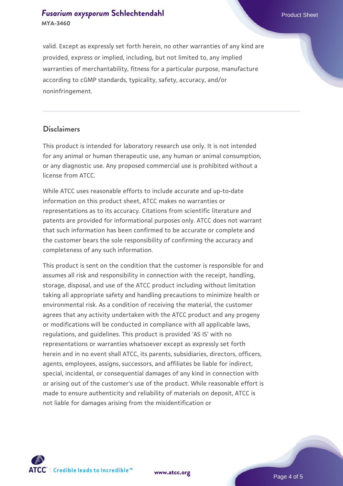# **[Fusarium oxysporum](https://www.atcc.org/products/mya-3460) [Schlechtendahl](https://www.atcc.org/products/mya-3460) Product Sheet Product Sheet MYA-3460**

valid. Except as expressly set forth herein, no other warranties of any kind are provided, express or implied, including, but not limited to, any implied warranties of merchantability, fitness for a particular purpose, manufacture according to cGMP standards, typicality, safety, accuracy, and/or noninfringement.

#### **Disclaimers**

This product is intended for laboratory research use only. It is not intended for any animal or human therapeutic use, any human or animal consumption, or any diagnostic use. Any proposed commercial use is prohibited without a license from ATCC.

While ATCC uses reasonable efforts to include accurate and up-to-date information on this product sheet, ATCC makes no warranties or representations as to its accuracy. Citations from scientific literature and patents are provided for informational purposes only. ATCC does not warrant that such information has been confirmed to be accurate or complete and the customer bears the sole responsibility of confirming the accuracy and completeness of any such information.

This product is sent on the condition that the customer is responsible for and assumes all risk and responsibility in connection with the receipt, handling, storage, disposal, and use of the ATCC product including without limitation taking all appropriate safety and handling precautions to minimize health or environmental risk. As a condition of receiving the material, the customer agrees that any activity undertaken with the ATCC product and any progeny or modifications will be conducted in compliance with all applicable laws, regulations, and guidelines. This product is provided 'AS IS' with no representations or warranties whatsoever except as expressly set forth herein and in no event shall ATCC, its parents, subsidiaries, directors, officers, agents, employees, assigns, successors, and affiliates be liable for indirect, special, incidental, or consequential damages of any kind in connection with or arising out of the customer's use of the product. While reasonable effort is made to ensure authenticity and reliability of materials on deposit, ATCC is not liable for damages arising from the misidentification or



**[www.atcc.org](http://www.atcc.org)**

Page 4 of 5